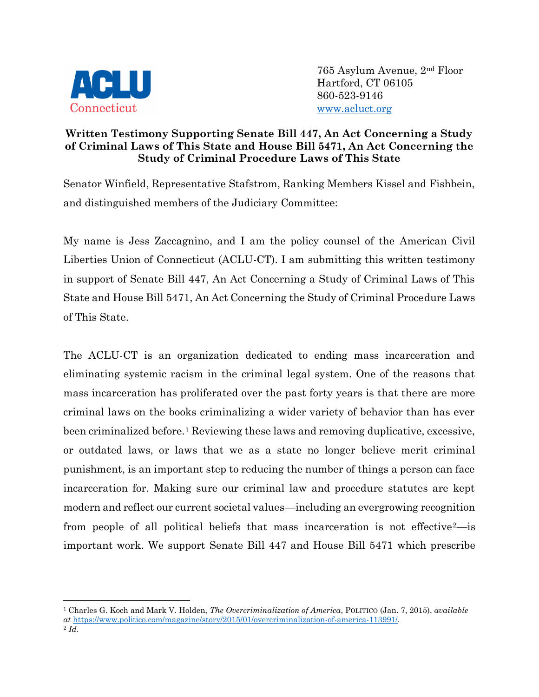

765 Asylum Avenue, 2nd Floor Hartford, CT 06105 860-523-9146 [www.acluct.org](http://www.acluct.org/)

## **Written Testimony Supporting Senate Bill 447, An Act Concerning a Study of Criminal Laws of This State and House Bill 5471, An Act Concerning the Study of Criminal Procedure Laws of This State**

Senator Winfield, Representative Stafstrom, Ranking Members Kissel and Fishbein, and distinguished members of the Judiciary Committee:

My name is Jess Zaccagnino, and I am the policy counsel of the American Civil Liberties Union of Connecticut (ACLU-CT). I am submitting this written testimony in support of Senate Bill 447, An Act Concerning a Study of Criminal Laws of This State and House Bill 5471, An Act Concerning the Study of Criminal Procedure Laws of This State.

The ACLU-CT is an organization dedicated to ending mass incarceration and eliminating systemic racism in the criminal legal system. One of the reasons that mass incarceration has proliferated over the past forty years is that there are more criminal laws on the books criminalizing a wider variety of behavior than has ever been criminalized before.<sup>1</sup> Reviewing these laws and removing duplicative, excessive, or outdated laws, or laws that we as a state no longer believe merit criminal punishment, is an important step to reducing the number of things a person can face incarceration for. Making sure our criminal law and procedure statutes are kept modern and reflect our current societal values—including an evergrowing recognition from people of all political beliefs that mass incarceration is not effective<sup>2</sup>—is important work. We support Senate Bill 447 and House Bill 5471 which prescribe

<sup>1</sup> Charles G. Koch and Mark V. Holden, *The Overcriminalization of America*, POLITICO (Jan. 7, 2015), *available at* [https://www.politico.com/magazine/story/2015/01/overcriminalization-of-america-113991/.](https://www.politico.com/magazine/story/2015/01/overcriminalization-of-america-113991/)